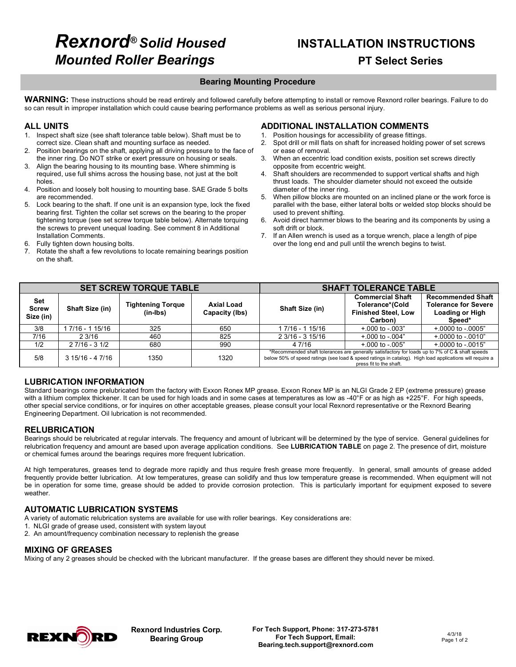# *Rexnord® Solid Housed* **INSTALLATION INSTRUCTIONS** *Mounted Roller Bearings* **PT Select Series**

**Bearing Mounting Procedure**<br>WARNING: These instructions should be read entirely and followed carefully before attempting to install or remove Rexnord roller bearings. Failure to do so can result in improper installation which could cause bearing performance problems as well as serious personal injury.

### **ALL UNITS**

- 1. Inspect shaft size (see shaft tolerance table below). Shaft must be to correct size. Clean shaft and mounting surface as needed.
- 2. Position bearings on the shaft, applying all driving pressure to the face of the inner ring. Do NOT strike or exert pressure on housing or seals.
- 3. Align the bearing housing to its mounting base. Where shimming is required, use full shims across the housing base, not just at the bolt holes.
- 4. Position and loosely bolt housing to mounting base. SAE Grade 5 bolts are recommended.
- 5. Lock bearing to the shaft. If one unit is an expansion type, lock the fixed bearing first. Tighten the collar set screws on the bearing to the proper tightening torque (see set screw torque table below). Alternate torquing the screws to prevent unequal loading. See comment 8 in Additional Installation Comments.
- 6. Fully tighten down housing bolts.
- 7. Rotate the shaft a few revolutions to locate remaining bearings position on the shaft.

# **ADDITIONAL INSTALLATION COMMENTS**

- Position housings for accessibility of grease fittings. 2. Spot drill or mill flats on shaft for increased holding power of set screws or ease of removal.
- 3. When an eccentric load condition exists, position set screws directly opposite from eccentric weight.
- 4. Shaft shoulders are recommended to support vertical shafts and high thrust loads. The shoulder diameter should not exceed the outside diameter of the inner ring.
- 5. When pillow blocks are mounted on an inclined plane or the work force is parallel with the base, either lateral bolts or welded stop blocks should be used to prevent shifting.
- 6. Avoid direct hammer blows to the bearing and its components by using a soft drift or block.
- 7. If an Allen wrench is used as a torque wrench, place a length of pipe over the long end and pull until the wrench begins to twist.

|                                  |                  | <b>SET SCREW TORQUE TABLE</b>        |                              | <b>SHAFT TOLERANCE TABLE</b>                                                                                                                                                                                                          |                                                                                     |                                                                                             |  |  |
|----------------------------------|------------------|--------------------------------------|------------------------------|---------------------------------------------------------------------------------------------------------------------------------------------------------------------------------------------------------------------------------------|-------------------------------------------------------------------------------------|---------------------------------------------------------------------------------------------|--|--|
| Set<br><b>Screw</b><br>Size (in) | Shaft Size (in)  | <b>Tightening Torque</b><br>(in-Ibs) | Axial Load<br>Capacity (lbs) | Shaft Size (in)                                                                                                                                                                                                                       | <b>Commercial Shaft</b><br>Tolerance*(Cold<br><b>Finished Steel, Low</b><br>Carbon) | <b>Recommended Shaft</b><br><b>Tolerance for Severe</b><br><b>Loading or High</b><br>Speed* |  |  |
| 3/8                              | 7/16 - 1 15/16   | 325                                  | 650                          | 1 7/16 - 1 15/16                                                                                                                                                                                                                      | $+0.001$ to $-0.003$ "                                                              | $+0.0001$ to $-0.0005$ "                                                                    |  |  |
| 7/16                             | 23/16            | 460                                  | 825                          | $23/16 - 315/16$                                                                                                                                                                                                                      | $+0.000$ to $-0.004$ "                                                              | $+0.0000$ to $-0.0010$ "                                                                    |  |  |
| 1/2                              | $27/16 - 31/2$   | 680                                  | 990                          | 4 7/16                                                                                                                                                                                                                                | $+.000$ to $-.005$ "                                                                | $+0.0001$ to $-0.015$ "                                                                     |  |  |
| 5/8                              | $315/16 - 47/16$ | 1350                                 | 1320                         | *Recommended shaft tolerances are generally satisfactory for loads up to 7% of C & shaft speeds<br>below 50% of speed ratings (see load & speed ratings in catalog). High load applications will require a<br>press fit to the shaft. |                                                                                     |                                                                                             |  |  |

# **LUBRICATION INFORMATION**

Standard bearings come prelubricated from the factory with Exxon Ronex MP grease. Exxon Ronex MP is an NLGI Grade 2 EP (extreme pressure) grease with a lithium complex thickener. It can be used for high loads and in some cases at temperatures as low as -40°F or as high as +225°F. For high speeds, other special service conditions, or for inquires on other acceptable greases, please consult your local Rexnord representative or the Rexnord Bearing Engineering Department. Oil lubrication is not recommended.

### **RELUBRICATION**

Bearings should be relubricated at regular intervals. The frequency and amount of lubricant will be determined by the type of service. General guidelines for relubrication frequency and amount are based upon average application conditions. See **LUBRICATION TABLE** on page 2. The presence of dirt, moisture or chemical fumes around the bearings requires more frequent lubrication.

At high temperatures, greases tend to degrade more rapidly and thus require fresh grease more frequently. In general, small amounts of grease added frequently provide better lubrication. At low temperatures, grease can solidify and thus low temperature grease is recommended. When equipment will not be in operation for some time, grease should be added to provide corrosion protection. This is particularly important for equipment exposed to severe weather.

## **AUTOMATIC LUBRICATION SYSTEMS**

A variety of automatic relubrication systems are available for use with roller bearings. Key considerations are:

- 1. NLGI grade of grease used, consistent with system layout
- 2. An amount/frequency combination necessary to replenish the grease

## **MIXING OF GREASES**

Mixing of any 2 greases should be checked with the lubricant manufacturer. If the grease bases are different they should never be mixed.



**Rexnord Industries Corp. Bearing Group**

**For Tech Support, Phone: 317-273-5781 For Tech Support, Email: Bearing.tech.support@rexnord.com**